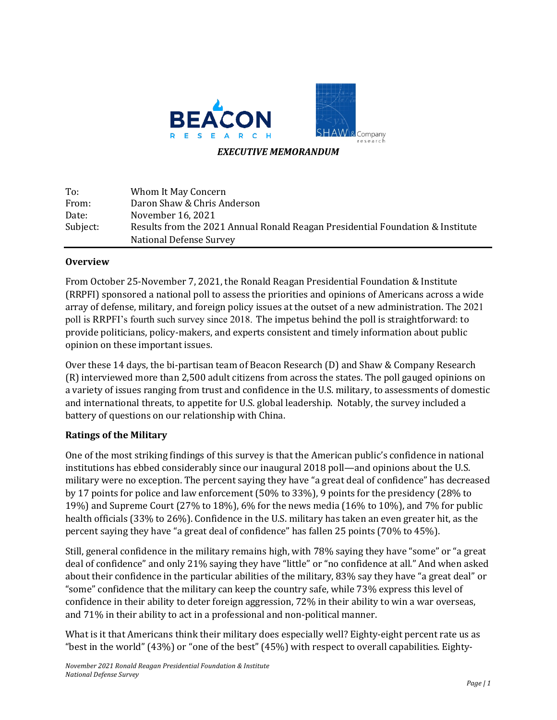

| To:      | Whom It May Concern                                                            |
|----------|--------------------------------------------------------------------------------|
| From:    | Daron Shaw & Chris Anderson                                                    |
| Date:    | November 16, 2021                                                              |
| Subject: | Results from the 2021 Annual Ronald Reagan Presidential Foundation & Institute |
|          | National Defense Survey                                                        |

## **Overview**

From October 25-November 7, 2021, the Ronald Reagan Presidential Foundation & Institute (RRPFI) sponsored a national poll to assess the priorities and opinions of Americans across a wide array of defense, military, and foreign policy issues at the outset of a new administration. The 2021 poll is RRPFI's fourth such survey since 2018. The impetus behind the poll is straightforward: to provide politicians, policy-makers, and experts consistent and timely information about public opinion on these important issues.

Over these 14 days, the bi-partisan team of Beacon Research (D) and Shaw & Company Research (R) interviewed more than 2,500 adult citizens from across the states. The poll gauged opinions on a variety of issues ranging from trust and confidence in the U.S. military, to assessments of domestic and international threats, to appetite for U.S. global leadership. Notably, the survey included a battery of questions on our relationship with China.

## **Ratings of the Military**

One of the most striking findings of this survey is that the American public's confidence in national institutions has ebbed considerably since our inaugural 2018 poll—and opinions about the U.S. military were no exception. The percent saying they have "a great deal of confidence" has decreased by 17 points for police and law enforcement (50% to 33%), 9 points for the presidency (28% to 19%) and Supreme Court (27% to 18%), 6% for the news media (16% to 10%), and 7% for public health officials (33% to 26%). Confidence in the U.S. military has taken an even greater hit, as the percent saying they have "a great deal of confidence" has fallen 25 points  $(70\%$  to  $45\%$ ).

Still, general confidence in the military remains high, with 78% saying they have "some" or "a great deal of confidence" and only 21% saying they have "little" or "no confidence at all." And when asked about their confidence in the particular abilities of the military, 83% say they have "a great deal" or "some" confidence that the military can keep the country safe, while 73% express this level of confidence in their ability to deter foreign aggression, 72% in their ability to win a war overseas, and 71% in their ability to act in a professional and non-political manner.

What is it that Americans think their military does especially well? Eighty-eight percent rate us as "best in the world"  $(43%)$  or "one of the best"  $(45%)$  with respect to overall capabilities. Eighty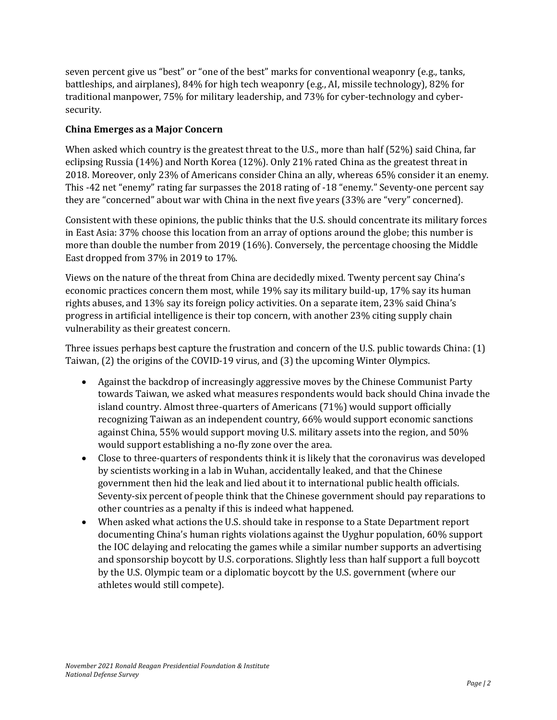seven percent give us "best" or "one of the best" marks for conventional weaponry (e.g., tanks, battleships, and airplanes), 84% for high tech weaponry (e.g., AI, missile technology), 82% for traditional manpower, 75% for military leadership, and 73% for cyber-technology and cybersecurity. 

## **China Emerges as a Major Concern**

When asked which country is the greatest threat to the U.S., more than half (52%) said China, far eclipsing Russia  $(14%)$  and North Korea  $(12%)$ . Only 21% rated China as the greatest threat in 2018. Moreover, only 23% of Americans consider China an ally, whereas 65% consider it an enemy. This -42 net "enemy" rating far surpasses the 2018 rating of -18 "enemy." Seventy-one percent say they are "concerned" about war with China in the next five years (33% are "very" concerned).

Consistent with these opinions, the public thinks that the U.S. should concentrate its military forces in East Asia: 37% choose this location from an array of options around the globe; this number is more than double the number from  $2019$  (16%). Conversely, the percentage choosing the Middle East dropped from 37% in 2019 to 17%.

Views on the nature of the threat from China are decidedly mixed. Twenty percent say China's economic practices concern them most, while 19% say its military build-up, 17% say its human rights abuses, and 13% say its foreign policy activities. On a separate item, 23% said China's progress in artificial intelligence is their top concern, with another 23% citing supply chain vulnerability as their greatest concern.

Three issues perhaps best capture the frustration and concern of the U.S. public towards China:  $(1)$ Taiwan,  $(2)$  the origins of the COVID-19 virus, and  $(3)$  the upcoming Winter Olympics.

- Against the backdrop of increasingly aggressive moves by the Chinese Communist Party towards Taiwan, we asked what measures respondents would back should China invade the island country. Almost three-quarters of Americans  $(71%)$  would support officially recognizing Taiwan as an independent country, 66% would support economic sanctions against China, 55% would support moving U.S. military assets into the region, and 50% would support establishing a no-fly zone over the area.
- Close to three-quarters of respondents think it is likely that the coronavirus was developed by scientists working in a lab in Wuhan, accidentally leaked, and that the Chinese government then hid the leak and lied about it to international public health officials. Seventy-six percent of people think that the Chinese government should pay reparations to other countries as a penalty if this is indeed what happened.
- When asked what actions the U.S. should take in response to a State Department report documenting China's human rights violations against the Uyghur population, 60% support the IOC delaying and relocating the games while a similar number supports an advertising and sponsorship boycott by U.S. corporations. Slightly less than half support a full boycott by the U.S. Olympic team or a diplomatic boycott by the U.S. government (where our athletes would still compete).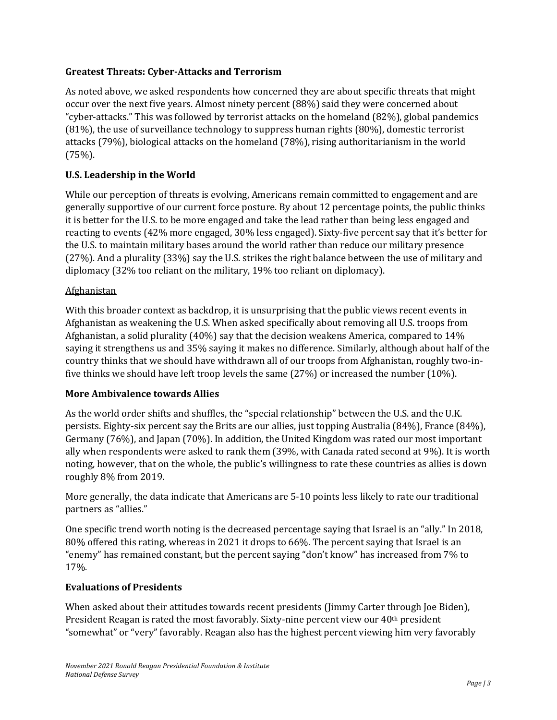## **Greatest Threats: Cyber-Attacks and Terrorism**

As noted above, we asked respondents how concerned they are about specific threats that might occur over the next five years. Almost ninety percent (88%) said they were concerned about "cyber-attacks." This was followed by terrorist attacks on the homeland (82%), global pandemics  $(81%)$ , the use of surveillance technology to suppress human rights  $(80%)$ , domestic terrorist attacks  $(79%)$ , biological attacks on the homeland  $(78%)$ , rising authoritarianism in the world (75%). 

## **U.S. Leadership in the World**

While our perception of threats is evolving, Americans remain committed to engagement and are generally supportive of our current force posture. By about 12 percentage points, the public thinks it is better for the U.S. to be more engaged and take the lead rather than being less engaged and reacting to events  $(42\%$  more engaged,  $30\%$  less engaged). Sixty-five percent say that it's better for the U.S. to maintain military bases around the world rather than reduce our military presence (27%). And a plurality (33%) say the U.S. strikes the right balance between the use of military and diplomacy (32% too reliant on the military, 19% too reliant on diplomacy).

## Afghanistan

With this broader context as backdrop, it is unsurprising that the public views recent events in Afghanistan as weakening the U.S. When asked specifically about removing all U.S. troops from Afghanistan, a solid plurality  $(40\%)$  say that the decision weakens America, compared to 14% saying it strengthens us and 35% saying it makes no difference. Similarly, although about half of the country thinks that we should have withdrawn all of our troops from Afghanistan, roughly two-infive thinks we should have left troop levels the same  $(27%)$  or increased the number  $(10%)$ .

## **More Ambivalence towards Allies**

As the world order shifts and shuffles, the "special relationship" between the U.S. and the U.K. persists. Eighty-six percent say the Brits are our allies, just topping Australia  $(84%)$ , France  $(84%)$ , Germany (76%), and Japan (70%). In addition, the United Kingdom was rated our most important ally when respondents were asked to rank them  $(39\%$ , with Canada rated second at  $9\%$ ). It is worth noting, however, that on the whole, the public's willingness to rate these countries as allies is down roughly 8% from 2019.

More generally, the data indicate that Americans are 5-10 points less likely to rate our traditional partners as "allies."

One specific trend worth noting is the decreased percentage saying that Israel is an "ally." In 2018, 80% offered this rating, whereas in 2021 it drops to 66%. The percent saying that Israel is an "enemy" has remained constant, but the percent saying "don't know" has increased from 7% to 17%. 

#### **Evaluations of Presidents**

When asked about their attitudes towards recent presidents (Jimmy Carter through Joe Biden), President Reagan is rated the most favorably. Sixty-nine percent view our  $40<sup>th</sup>$  president "somewhat" or "very" favorably. Reagan also has the highest percent viewing him very favorably